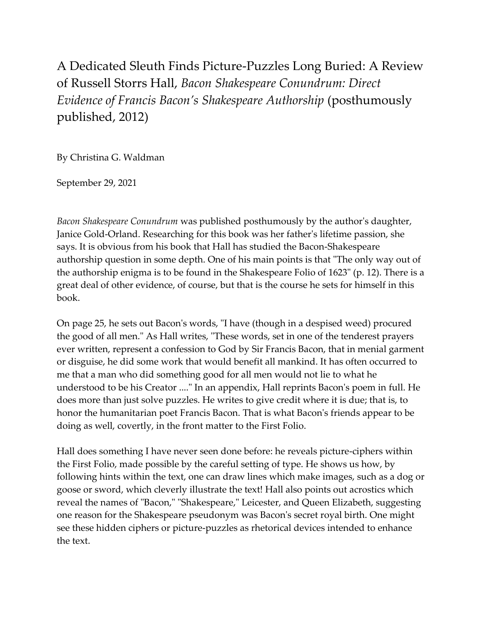A Dedicated Sleuth Finds Picture-Puzzles Long Buried: A Review of Russell Storrs Hall, *Bacon Shakespeare Conundrum: Direct Evidence of Francis Bacon's Shakespeare Authorship* (posthumously published, 2012)

By Christina G. Waldman

September 29, 2021

*Bacon Shakespeare Conundrum* was published posthumously by the author's daughter, Janice Gold-Orland. Researching for this book was her father's lifetime passion, she says. It is obvious from his book that Hall has studied the Bacon-Shakespeare authorship question in some depth. One of his main points is that "The only way out of the authorship enigma is to be found in the Shakespeare Folio of 1623" (p. 12). There is a great deal of other evidence, of course, but that is the course he sets for himself in this book.

On page 25, he sets out Bacon's words, "I have (though in a despised weed) procured the good of all men." As Hall writes, "These words, set in one of the tenderest prayers ever written, represent a confession to God by Sir Francis Bacon, that in menial garment or disguise, he did some work that would benefit all mankind. It has often occurred to me that a man who did something good for all men would not lie to what he understood to be his Creator ...." In an appendix, Hall reprints Bacon's poem in full. He does more than just solve puzzles. He writes to give credit where it is due; that is, to honor the humanitarian poet Francis Bacon. That is what Bacon's friends appear to be doing as well, covertly, in the front matter to the First Folio.

Hall does something I have never seen done before: he reveals picture-ciphers within the First Folio, made possible by the careful setting of type. He shows us how, by following hints within the text, one can draw lines which make images, such as a dog or goose or sword, which cleverly illustrate the text! Hall also points out acrostics which reveal the names of "Bacon," "Shakespeare," Leicester, and Queen Elizabeth, suggesting one reason for the Shakespeare pseudonym was Bacon's secret royal birth. One might see these hidden ciphers or picture-puzzles as rhetorical devices intended to enhance the text.